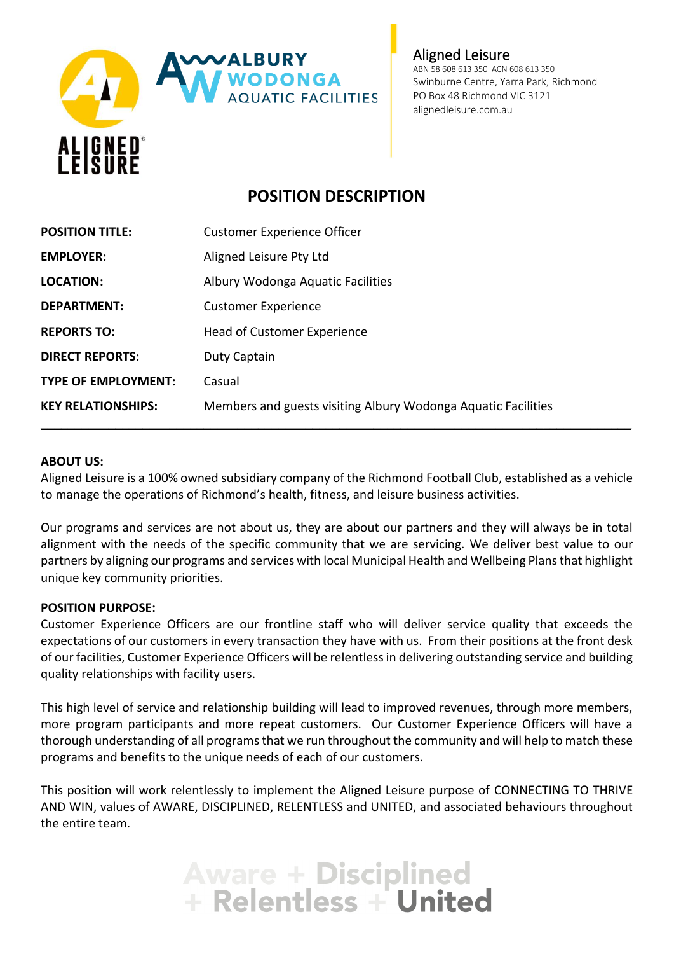

Aligned Leisure ABN 58 608 613 350 ACN 608 613 350 Swinburne Centre, Yarra Park, Richmond PO Box 48 Richmond VIC 3121 alignedleisure.com.au

# **POSITION DESCRIPTION**

| <b>POSITION TITLE:</b>     | <b>Customer Experience Officer</b>                            |
|----------------------------|---------------------------------------------------------------|
| <b>EMPLOYER:</b>           | Aligned Leisure Pty Ltd                                       |
| <b>LOCATION:</b>           | Albury Wodonga Aquatic Facilities                             |
| <b>DEPARTMENT:</b>         | <b>Customer Experience</b>                                    |
| <b>REPORTS TO:</b>         | Head of Customer Experience                                   |
| <b>DIRECT REPORTS:</b>     | Duty Captain                                                  |
| <b>TYPE OF EMPLOYMENT:</b> | Casual                                                        |
| <b>KEY RELATIONSHIPS:</b>  | Members and guests visiting Albury Wodonga Aquatic Facilities |

#### **ABOUT US:**

Aligned Leisure is a 100% owned subsidiary company of the Richmond Football Club, established as a vehicle to manage the operations of Richmond's health, fitness, and leisure business activities.

Our programs and services are not about us, they are about our partners and they will always be in total alignment with the needs of the specific community that we are servicing. We deliver best value to our partners by aligning our programs and services with local Municipal Health and Wellbeing Plans that highlight unique key community priorities.

#### **POSITION PURPOSE:**

Customer Experience Officers are our frontline staff who will deliver service quality that exceeds the expectations of our customers in every transaction they have with us. From their positions at the front desk of our facilities, Customer Experience Officers will be relentless in delivering outstanding service and building quality relationships with facility users.

This high level of service and relationship building will lead to improved revenues, through more members, more program participants and more repeat customers. Our Customer Experience Officers will have a thorough understanding of all programs that we run throughout the community and will help to match these programs and benefits to the unique needs of each of our customers.

This position will work relentlessly to implement the Aligned Leisure purpose of CONNECTING TO THRIVE AND WIN, values of AWARE, DISCIPLINED, RELENTLESS and UNITED, and associated behaviours throughout the entire team.